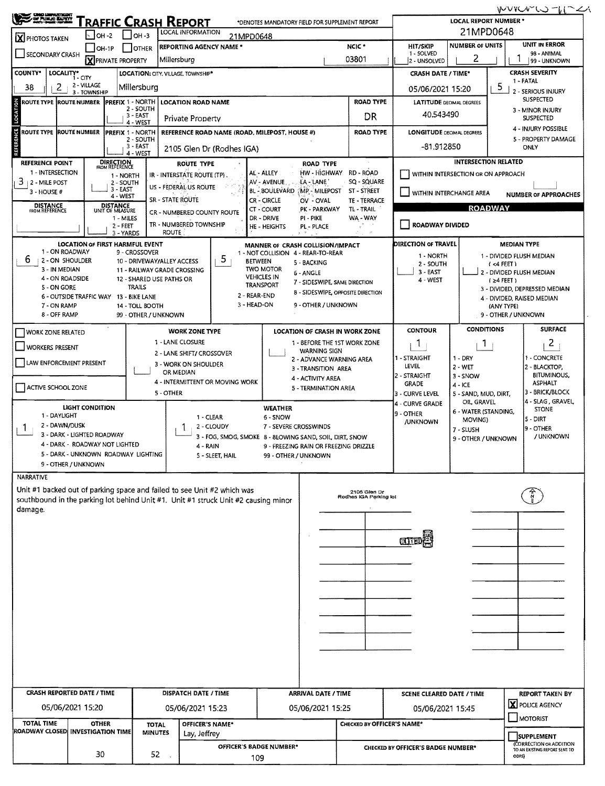WVYCVLJ-UTC **TRAFFIC CRASH REPORT LOCAL REPORT NUMBER '** \*DENOTES MANDATORY FIELD FOR SUPPLEMENT REPORT 21MPD0648 **LOCAL INFORMATION**  $\sqrt{}$ OH-2  $\sqrt{}$ OH-3 **X** PHOTOS TAKEN 21MPD0648 **UNIT IN ERROR NUMBER OF UNITS** NCIC<sup>\*</sup> **HIT/SKIP** OH-1P OTHER REPORTING AGENCY NAME \*  $1 - SOLVED$ SECONDARY CRASH 98 - ANIMAL **X** PRIVATE PROPERTY 03801 2 - UNSOLVED 2 1 Millersburg 99 - UNKNOWN LOCALITY\* CITY **CRASH SEVERITY** COUNTY\* LOCATION: CITY. VILLAGE. TOWNSHIP\* **CRASH DATE / TIME\*** 1 - FATAL 2 - VILLAGE Millersburg 5 38  $\mathcal{P}$ 05/06/2021 15:20 2 - SERIOUS INJURY 3 - TOWNSHIP **SUSPECTED LOCATION ROAD NAME ROAD TYPE** ROUTE TYPE ROUTE NUMBER PREFIX 1 - NORTH **LATITUDE DECIMAL DEGREES**  $2 - SOLITH$ 3 - MINOR INJURY 40.543490 - EAST DR Private Property **SUSPECTED** 4 - WEST 4 - INJURY POSSIBLE ROUTE TYPE ROUTE NUMBER REFERENCE ROAD NAME (ROAD, MILEPOST, HOUSE #) **ROAD TYPE** LONGITUDE DECIMAL DEGREES **PREFIX 1 - NORTH** 5 - PROPERTY DAMAGE - SOUTH  $3 - FAST$  $-81,912850$ ONLY 2105 Glen Dr (Rodhes IGA) 4 - WEST **REFERENCE POINT INTERSECTION RELATED DIRECTION**<br>FROM REFERENCE **ROUTE TYPE ROAD TYPE** 1 - INTERSECTION AL - ÁLLEY HW - HIGHWAY RD - ROAD WITHIN INTERSECTION OR ON APPROACH IR - INTERSTATE ROUTE (TP). 1 - NORTH  $3 + 2$  - MILE POST AV - AVENUE LA - LANE SQ - SQUARE 2 - SOUTH<br>3 - EAST US - FEDERAL US ROUTE  $3 - HOUSE #$ BL - BOULEVARD MP - MILEPOST ST - STREET WITHIN INTERCHANGE AREA **NUMBER OF APPROACHES** 4 - WEST **SR - STATE ROUTE** CR-CIRCLE  $\overline{O}V - \overline{O}V$ AL TE - TERRACE **DISTANCE**<br>FROM REFERENCE DISTANCE<br>UNIT OF MEASURE **ROADWAY** CT - COURT PK - PARKWAY TL-TRAIL CR - NUMBERED COUNTY ROUTE 1 - MILES DR - DRIVE PL - PIKE WA - WAY TR - NUMBERED TOWNSHIP ROADWAY DIVIDED  $2 - FEET$ **HE-HEIGHTS** PL - PLACE 3 - YARDS **ROUTE LOCATION OF FIRST HARMFUL EVENT** MANNER OF CRASH COLLISION/IMPACT DIRECTION OF TRAVEL **MEDIAN TYPE** 1 - ON ROADWAY 9 - CROSSOVER 1 - NOT COLLISION 4 - REAR-TO-REAR 1 - DIVIDED FLUSH MEDIAN 1 - NORTH  $6 + 2 - ON$  shoulder 5. 10 - DRIVEWAY/ALLEY ACCESS **RETWEEN** 5 - BACKING 2 - SOUTH  $(4$  FEET) **TWO MOTOR** 3 - IN MEDIAN 11 - RAILWAY GRADE CROSSING 3 - EAST - DIVIDED FLUSH MEDIAN 6 - ANGLE **VEHICLES IN** 4 - ON ROADSIDE 12 - SHARED USE PATHS OR 4 - WEST  $(24$  FEET) 7 - SIDESWIPE, SAME DIRECTION **TRANSPORT** 5 - ON GORE **TRAILS** 3 - DIVIDED, DEPRESSED MEDIAN 8 - SIDESWIPE, OPPOSITE DIRECTION 2 - REAR-END 6 - OUTSIDE TRAFFIC WAY 13 - BIKE LANE 4 - DIVIDED, RAISED MEDIAN 3 - HEAD-ON 9 - OTHER / UNKNOWN 7 - ON RAMP 14 - TOLL BOOTH (ANY TYPE) 8 - OFF RAMP 9 - OTHER / UNKNOWN 99 - OTHER / UNKNOWN **CONDITIONS SURFACE WORK ZONE TYPE LOCATION OF CRASH IN WORK ZONE CONTOUR** WORK ZONE RELATED 1 - LANE CLOSURE 1 - REFORE THE 1ST WORK ZONE 2  $\mathbf{1}$  $\mathbf{1}$ WORKERS PRESENT **WARNING SIGN** 2 - LANE SHIFT/ CROSSOVER 1 - STRAIGHT - CONCRETE  $1 - DRY$ 2 - ADVANCE WARNING AREA LAW ENFORCEMENT PRESENT 3 - WORK ON SHOULDER **LEVEL**  $2 - WET$ **BLACKTOP** 3 - TRANSITION AREA OR MEDIAN **STRAIGHT**  $3 -$  SNOW **BITUMINOUS,** 4 - ACTIVITY AREA 4 - INTERMITTENT OR MOVING WORK **GRADE ASPHALT**  $4 - ICE$ ACTIVE SCHOOL ZONE 5 - TERMINATION AREA 3 - BRICK/BLOCK 5 - OTHER 5 - SAND, MUD, DIRT, - CURVE LEVEL 4 - SLAG, GRAVEL OIL GRAVEL 4 - CURVE GRADE **LIGHT CONDITION WEATHER STONE** 6 - WATER (STANDING, 9 - OTHER 1 - DAYLIGHT  $1 - CLEAR$ 6 - SNOW  $5 - DIRT$ MOVING) **/UNKNOWN** 2 - DAWN/DUSK  $1<sub>1</sub>$ 2 - CLOUDY 7 - SEVERE CROSSWINDS 9 - OTHER  $\mathbf{1}$ 7 - SLUSH 3 - DARK - LIGHTED ROADWAY / UNKNOWN 3 - FOG, SMOG, SMOKE 8 - 8LOWING SAND, SOIL, DIRT, SNOW 9 - OTHER / UNKNOWN 4 - DARK - ROADWAY NOT LIGHTED  $4 - RAIN$ 9 - FREEZING RAIN OR FREEZING DRIZZLE 5 - DARK - UNKNOWN ROADWAY LIGHTING 5 - SLEET, HAIL 99 - OTHER / UNKNOWN 9 - OTHER / UNKNOWN NARRATIVE Unit #1 backed out of parking space and failed to see Unit #2 which was 2105 Glen Dr<br>Rodhes IGA Parking lot southbound in the parking lot behind Unit #1. Unit #1 struck Unit #2 causing minor damage. 团正 **CRASH REPORTED DATE / TIME DISPATCH DATE / TIME** ARRIVAL DATE / TIME **REPORT TAKEN BY SCENE CLEARED DATE / TIME X** POLICE AGENCY 05/06/2021 15:20 05/06/2021 15:23 05/06/2021 15:25 05/06/2021 15:45 MOTORIST **TOTAL TIME OTHER** OFFICER'S NAME\* CHECKED BY OFFICER'S NAME\* **TOTAL** 

> SUPPLEMENT CORRECTION OR ADDITION<br>TO AN EXISTING REPORT SENT TO

ODPS)

**CHECKED BY OFFICER'S BADGE NUMBER\*** 

ROADWAY CLOSED INVESTIGATION TIME

30

**MINUTES** 

52

Lay, Jeffrey

**OFFICER'S BADGE NUMBER\*** 

109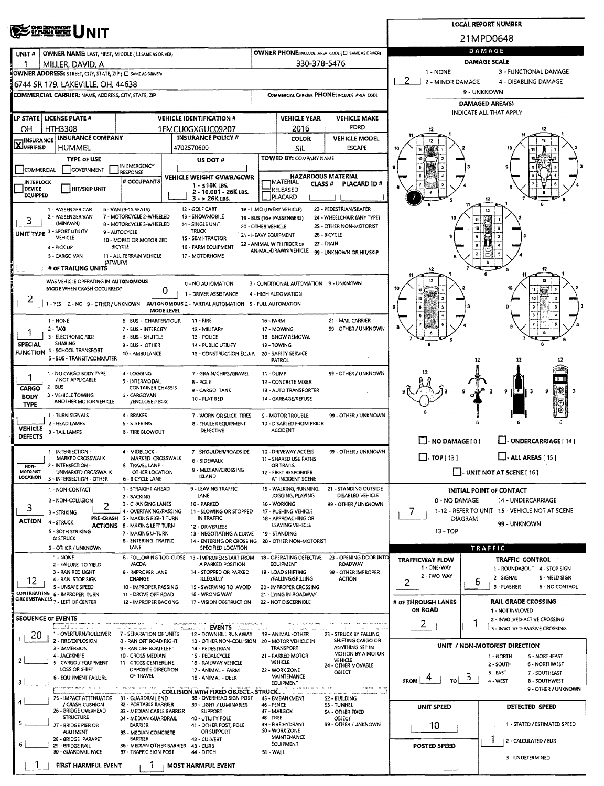|                                                                                                                                       | OHO DEWOUGHT                                                                                                                                                                                                                                                   |                                                                                        | <b>LOCAL REPORT NUMBER</b> |                                                                      |                                                                                                                                                                                                                                                                                                                                                                                                                                                                                                                                                                                                                                                                                                                                                                                                                                                                                                                                                                                                                                                                                                                                                                                                                                                                                                                                                                                                                                                                                                                                                                                                                                                                                                                                                                                                                                                                                                                                                                                                                                                                                                                                                                                                                                                                                                                                                                                                                                                                                                                                                                                                                                                                                                                                                                                                                                                                                                                                                                                                                                                                                                                                                                                                                                                                                                          |              |                      |                        |                      |  |  |  |  |  |
|---------------------------------------------------------------------------------------------------------------------------------------|----------------------------------------------------------------------------------------------------------------------------------------------------------------------------------------------------------------------------------------------------------------|----------------------------------------------------------------------------------------|----------------------------|----------------------------------------------------------------------|----------------------------------------------------------------------------------------------------------------------------------------------------------------------------------------------------------------------------------------------------------------------------------------------------------------------------------------------------------------------------------------------------------------------------------------------------------------------------------------------------------------------------------------------------------------------------------------------------------------------------------------------------------------------------------------------------------------------------------------------------------------------------------------------------------------------------------------------------------------------------------------------------------------------------------------------------------------------------------------------------------------------------------------------------------------------------------------------------------------------------------------------------------------------------------------------------------------------------------------------------------------------------------------------------------------------------------------------------------------------------------------------------------------------------------------------------------------------------------------------------------------------------------------------------------------------------------------------------------------------------------------------------------------------------------------------------------------------------------------------------------------------------------------------------------------------------------------------------------------------------------------------------------------------------------------------------------------------------------------------------------------------------------------------------------------------------------------------------------------------------------------------------------------------------------------------------------------------------------------------------------------------------------------------------------------------------------------------------------------------------------------------------------------------------------------------------------------------------------------------------------------------------------------------------------------------------------------------------------------------------------------------------------------------------------------------------------------------------------------------------------------------------------------------------------------------------------------------------------------------------------------------------------------------------------------------------------------------------------------------------------------------------------------------------------------------------------------------------------------------------------------------------------------------------------------------------------------------------------------------------------------------------------------------------------|--------------|----------------------|------------------------|----------------------|--|--|--|--|--|
|                                                                                                                                       |                                                                                                                                                                                                                                                                |                                                                                        | 21MPD0648                  |                                                                      |                                                                                                                                                                                                                                                                                                                                                                                                                                                                                                                                                                                                                                                                                                                                                                                                                                                                                                                                                                                                                                                                                                                                                                                                                                                                                                                                                                                                                                                                                                                                                                                                                                                                                                                                                                                                                                                                                                                                                                                                                                                                                                                                                                                                                                                                                                                                                                                                                                                                                                                                                                                                                                                                                                                                                                                                                                                                                                                                                                                                                                                                                                                                                                                                                                                                                                          |              |                      |                        |                      |  |  |  |  |  |
| UNIT <sub>#</sub>                                                                                                                     | OWNER NAME: LAST, FIRST, MIDDLE ( L SAME AS DRIVER)                                                                                                                                                                                                            |                                                                                        |                            |                                                                      |                                                                                                                                                                                                                                                                                                                                                                                                                                                                                                                                                                                                                                                                                                                                                                                                                                                                                                                                                                                                                                                                                                                                                                                                                                                                                                                                                                                                                                                                                                                                                                                                                                                                                                                                                                                                                                                                                                                                                                                                                                                                                                                                                                                                                                                                                                                                                                                                                                                                                                                                                                                                                                                                                                                                                                                                                                                                                                                                                                                                                                                                                                                                                                                                                                                                                                          |              |                      | DAMAGE                 |                      |  |  |  |  |  |
|                                                                                                                                       | MILLER, DAVID, A                                                                                                                                                                                                                                               |                                                                                        |                            |                                                                      |                                                                                                                                                                                                                                                                                                                                                                                                                                                                                                                                                                                                                                                                                                                                                                                                                                                                                                                                                                                                                                                                                                                                                                                                                                                                                                                                                                                                                                                                                                                                                                                                                                                                                                                                                                                                                                                                                                                                                                                                                                                                                                                                                                                                                                                                                                                                                                                                                                                                                                                                                                                                                                                                                                                                                                                                                                                                                                                                                                                                                                                                                                                                                                                                                                                                                                          |              |                      | <b>DAMAGE SCALE</b>    |                      |  |  |  |  |  |
|                                                                                                                                       | OWNER ADDRESS: STREET, CITY, STATE, ZIP ( C) SAME AS DRIVER)                                                                                                                                                                                                   |                                                                                        |                            |                                                                      |                                                                                                                                                                                                                                                                                                                                                                                                                                                                                                                                                                                                                                                                                                                                                                                                                                                                                                                                                                                                                                                                                                                                                                                                                                                                                                                                                                                                                                                                                                                                                                                                                                                                                                                                                                                                                                                                                                                                                                                                                                                                                                                                                                                                                                                                                                                                                                                                                                                                                                                                                                                                                                                                                                                                                                                                                                                                                                                                                                                                                                                                                                                                                                                                                                                                                                          |              |                      | 2                      | 4 - DISABLING DAMAGE |  |  |  |  |  |
|                                                                                                                                       | 6744 SR 179, LAKEVILLE, OH, 44638<br><b>COMMERCIAL CARRIER: NAME, ADDRESS, CITY, STATE, ZIP</b>                                                                                                                                                                |                                                                                        |                            |                                                                      |                                                                                                                                                                                                                                                                                                                                                                                                                                                                                                                                                                                                                                                                                                                                                                                                                                                                                                                                                                                                                                                                                                                                                                                                                                                                                                                                                                                                                                                                                                                                                                                                                                                                                                                                                                                                                                                                                                                                                                                                                                                                                                                                                                                                                                                                                                                                                                                                                                                                                                                                                                                                                                                                                                                                                                                                                                                                                                                                                                                                                                                                                                                                                                                                                                                                                                          |              |                      | 9 - UNKNOWN            |                      |  |  |  |  |  |
|                                                                                                                                       |                                                                                                                                                                                                                                                                |                                                                                        |                            |                                                                      |                                                                                                                                                                                                                                                                                                                                                                                                                                                                                                                                                                                                                                                                                                                                                                                                                                                                                                                                                                                                                                                                                                                                                                                                                                                                                                                                                                                                                                                                                                                                                                                                                                                                                                                                                                                                                                                                                                                                                                                                                                                                                                                                                                                                                                                                                                                                                                                                                                                                                                                                                                                                                                                                                                                                                                                                                                                                                                                                                                                                                                                                                                                                                                                                                                                                                                          |              |                      | <b>DAMAGED AREA(S)</b> |                      |  |  |  |  |  |
|                                                                                                                                       | LP STATE   LICENSE PLATE #                                                                                                                                                                                                                                     |                                                                                        |                            | <b>VEHICLE IDENTIFICATION #</b>                                      |                                                                                                                                                                                                                                                                                                                                                                                                                                                                                                                                                                                                                                                                                                                                                                                                                                                                                                                                                                                                                                                                                                                                                                                                                                                                                                                                                                                                                                                                                                                                                                                                                                                                                                                                                                                                                                                                                                                                                                                                                                                                                                                                                                                                                                                                                                                                                                                                                                                                                                                                                                                                                                                                                                                                                                                                                                                                                                                                                                                                                                                                                                                                                                                                                                                                                                          |              |                      |                        |                      |  |  |  |  |  |
| <b>HTH3308</b><br>OН                                                                                                                  | 1FMCU0GXGUC09207                                                                                                                                                                                                                                               |                                                                                        | 2016                       | FORD                                                                 |                                                                                                                                                                                                                                                                                                                                                                                                                                                                                                                                                                                                                                                                                                                                                                                                                                                                                                                                                                                                                                                                                                                                                                                                                                                                                                                                                                                                                                                                                                                                                                                                                                                                                                                                                                                                                                                                                                                                                                                                                                                                                                                                                                                                                                                                                                                                                                                                                                                                                                                                                                                                                                                                                                                                                                                                                                                                                                                                                                                                                                                                                                                                                                                                                                                                                                          |              |                      |                        |                      |  |  |  |  |  |
| <b>INSURANCE</b>                                                                                                                      | <b>INSURANCE COMPANY</b>                                                                                                                                                                                                                                       |                                                                                        |                            | <b>INSURANCE POLICY #</b>                                            |                                                                                                                                                                                                                                                                                                                                                                                                                                                                                                                                                                                                                                                                                                                                                                                                                                                                                                                                                                                                                                                                                                                                                                                                                                                                                                                                                                                                                                                                                                                                                                                                                                                                                                                                                                                                                                                                                                                                                                                                                                                                                                                                                                                                                                                                                                                                                                                                                                                                                                                                                                                                                                                                                                                                                                                                                                                                                                                                                                                                                                                                                                                                                                                                                                                                                                          | <b>COLOR</b> | <b>VEHICLE MODEL</b> |                        |                      |  |  |  |  |  |
| <b>LAJVERIFIED</b>                                                                                                                    | HUMMEL                                                                                                                                                                                                                                                         |                                                                                        | 4702570600                 |                                                                      |                                                                                                                                                                                                                                                                                                                                                                                                                                                                                                                                                                                                                                                                                                                                                                                                                                                                                                                                                                                                                                                                                                                                                                                                                                                                                                                                                                                                                                                                                                                                                                                                                                                                                                                                                                                                                                                                                                                                                                                                                                                                                                                                                                                                                                                                                                                                                                                                                                                                                                                                                                                                                                                                                                                                                                                                                                                                                                                                                                                                                                                                                                                                                                                                                                                                                                          | SIL          | <b>ESCAPE</b>        |                        |                      |  |  |  |  |  |
|                                                                                                                                       | <b>TYPE OF USE</b><br>GOVERNMENT                                                                                                                                                                                                                               | IN EMERGENCY                                                                           |                            | US DOT #                                                             |                                                                                                                                                                                                                                                                                                                                                                                                                                                                                                                                                                                                                                                                                                                                                                                                                                                                                                                                                                                                                                                                                                                                                                                                                                                                                                                                                                                                                                                                                                                                                                                                                                                                                                                                                                                                                                                                                                                                                                                                                                                                                                                                                                                                                                                                                                                                                                                                                                                                                                                                                                                                                                                                                                                                                                                                                                                                                                                                                                                                                                                                                                                                                                                                                                                                                                          |              |                      |                        |                      |  |  |  |  |  |
| COMMERCIAL<br><b>INTERLOCK</b>                                                                                                        |                                                                                                                                                                                                                                                                | RESPONSE<br># OCCUPANTS                                                                |                            | VEHICLE WEIGHT GVWR/GCWR                                             |                                                                                                                                                                                                                                                                                                                                                                                                                                                                                                                                                                                                                                                                                                                                                                                                                                                                                                                                                                                                                                                                                                                                                                                                                                                                                                                                                                                                                                                                                                                                                                                                                                                                                                                                                                                                                                                                                                                                                                                                                                                                                                                                                                                                                                                                                                                                                                                                                                                                                                                                                                                                                                                                                                                                                                                                                                                                                                                                                                                                                                                                                                                                                                                                                                                                                                          |              |                      |                        |                      |  |  |  |  |  |
| DEVICE                                                                                                                                | HIT/SKIP UNIT                                                                                                                                                                                                                                                  |                                                                                        |                            | $1 - 510K$ LBS.<br>2 - 10.001 - 26K LBS.                             |                                                                                                                                                                                                                                                                                                                                                                                                                                                                                                                                                                                                                                                                                                                                                                                                                                                                                                                                                                                                                                                                                                                                                                                                                                                                                                                                                                                                                                                                                                                                                                                                                                                                                                                                                                                                                                                                                                                                                                                                                                                                                                                                                                                                                                                                                                                                                                                                                                                                                                                                                                                                                                                                                                                                                                                                                                                                                                                                                                                                                                                                                                                                                                                                                                                                                                          |              |                      |                        |                      |  |  |  |  |  |
| <b>EQUIPPED</b><br>JPLACARD<br>3 - > 26K LBS.<br>12                                                                                   |                                                                                                                                                                                                                                                                |                                                                                        |                            |                                                                      |                                                                                                                                                                                                                                                                                                                                                                                                                                                                                                                                                                                                                                                                                                                                                                                                                                                                                                                                                                                                                                                                                                                                                                                                                                                                                                                                                                                                                                                                                                                                                                                                                                                                                                                                                                                                                                                                                                                                                                                                                                                                                                                                                                                                                                                                                                                                                                                                                                                                                                                                                                                                                                                                                                                                                                                                                                                                                                                                                                                                                                                                                                                                                                                                                                                                                                          |              |                      |                        |                      |  |  |  |  |  |
|                                                                                                                                       | 1 - PASSENGER CAR<br>2 - PASSENGER VAN                                                                                                                                                                                                                         | 6 - VAN (9-15 SEATS)<br>7 - MOTORCYCLE 2-WHEELED                                       |                            | 12 - GOLF CART<br>13 - SNOWMOBILE                                    |                                                                                                                                                                                                                                                                                                                                                                                                                                                                                                                                                                                                                                                                                                                                                                                                                                                                                                                                                                                                                                                                                                                                                                                                                                                                                                                                                                                                                                                                                                                                                                                                                                                                                                                                                                                                                                                                                                                                                                                                                                                                                                                                                                                                                                                                                                                                                                                                                                                                                                                                                                                                                                                                                                                                                                                                                                                                                                                                                                                                                                                                                                                                                                                                                                                                                                          |              |                      |                        | 12                   |  |  |  |  |  |
| 3                                                                                                                                     | (MINIVAN)<br>UNIT TYPE 3 - SPORT UTILITY                                                                                                                                                                                                                       | 8 - MOTORCYCLE 3-WHEELED<br>9 - AUTOCYCLE                                              |                            | 14 - SINGLE UNIT<br><b>TRUCK</b>                                     |                                                                                                                                                                                                                                                                                                                                                                                                                                                                                                                                                                                                                                                                                                                                                                                                                                                                                                                                                                                                                                                                                                                                                                                                                                                                                                                                                                                                                                                                                                                                                                                                                                                                                                                                                                                                                                                                                                                                                                                                                                                                                                                                                                                                                                                                                                                                                                                                                                                                                                                                                                                                                                                                                                                                                                                                                                                                                                                                                                                                                                                                                                                                                                                                                                                                                                          |              |                      |                        | 10                   |  |  |  |  |  |
|                                                                                                                                       | VEHICLE                                                                                                                                                                                                                                                        | 10 - MOPED OR MOTORIZED                                                                |                            | 15 - SEMI-TRACTOR                                                    |                                                                                                                                                                                                                                                                                                                                                                                                                                                                                                                                                                                                                                                                                                                                                                                                                                                                                                                                                                                                                                                                                                                                                                                                                                                                                                                                                                                                                                                                                                                                                                                                                                                                                                                                                                                                                                                                                                                                                                                                                                                                                                                                                                                                                                                                                                                                                                                                                                                                                                                                                                                                                                                                                                                                                                                                                                                                                                                                                                                                                                                                                                                                                                                                                                                                                                          |              |                      |                        |                      |  |  |  |  |  |
|                                                                                                                                       | 4 - PICK UP<br>S - CARGO VAN                                                                                                                                                                                                                                   | <b>BICYCLE</b><br>11 - ALL TERRAIN VEHICLE                                             |                            | 16 - FARM EQUIPMENT<br>17 - MOTORHOME                                |                                                                                                                                                                                                                                                                                                                                                                                                                                                                                                                                                                                                                                                                                                                                                                                                                                                                                                                                                                                                                                                                                                                                                                                                                                                                                                                                                                                                                                                                                                                                                                                                                                                                                                                                                                                                                                                                                                                                                                                                                                                                                                                                                                                                                                                                                                                                                                                                                                                                                                                                                                                                                                                                                                                                                                                                                                                                                                                                                                                                                                                                                                                                                                                                                                                                                                          |              |                      |                        |                      |  |  |  |  |  |
|                                                                                                                                       | (ATV/UTV)<br># OF TRAILING UNITS                                                                                                                                                                                                                               |                                                                                        |                            |                                                                      |                                                                                                                                                                                                                                                                                                                                                                                                                                                                                                                                                                                                                                                                                                                                                                                                                                                                                                                                                                                                                                                                                                                                                                                                                                                                                                                                                                                                                                                                                                                                                                                                                                                                                                                                                                                                                                                                                                                                                                                                                                                                                                                                                                                                                                                                                                                                                                                                                                                                                                                                                                                                                                                                                                                                                                                                                                                                                                                                                                                                                                                                                                                                                                                                                                                                                                          |              |                      |                        | $\mathbf{G}$         |  |  |  |  |  |
|                                                                                                                                       | WAS VEHICLE OPERATING IN AUTONOMOUS                                                                                                                                                                                                                            |                                                                                        |                            |                                                                      |                                                                                                                                                                                                                                                                                                                                                                                                                                                                                                                                                                                                                                                                                                                                                                                                                                                                                                                                                                                                                                                                                                                                                                                                                                                                                                                                                                                                                                                                                                                                                                                                                                                                                                                                                                                                                                                                                                                                                                                                                                                                                                                                                                                                                                                                                                                                                                                                                                                                                                                                                                                                                                                                                                                                                                                                                                                                                                                                                                                                                                                                                                                                                                                                                                                                                                          |              |                      |                        |                      |  |  |  |  |  |
|                                                                                                                                       | MODE WHEN CRASH OCCURRED?                                                                                                                                                                                                                                      |                                                                                        | 0                          | 0 - NO AUTOMATION<br>1 - DRIVER ASSISTANCE                           |                                                                                                                                                                                                                                                                                                                                                                                                                                                                                                                                                                                                                                                                                                                                                                                                                                                                                                                                                                                                                                                                                                                                                                                                                                                                                                                                                                                                                                                                                                                                                                                                                                                                                                                                                                                                                                                                                                                                                                                                                                                                                                                                                                                                                                                                                                                                                                                                                                                                                                                                                                                                                                                                                                                                                                                                                                                                                                                                                                                                                                                                                                                                                                                                                                                                                                          |              |                      |                        |                      |  |  |  |  |  |
| 2                                                                                                                                     | 1 - YES 2 - NO 9 - OTHER / UNKNOWN                                                                                                                                                                                                                             |                                                                                        |                            | AUTONOMOUS 2 - PARTIAL AUTOMATION 5 - FULL AUTOMATION                |                                                                                                                                                                                                                                                                                                                                                                                                                                                                                                                                                                                                                                                                                                                                                                                                                                                                                                                                                                                                                                                                                                                                                                                                                                                                                                                                                                                                                                                                                                                                                                                                                                                                                                                                                                                                                                                                                                                                                                                                                                                                                                                                                                                                                                                                                                                                                                                                                                                                                                                                                                                                                                                                                                                                                                                                                                                                                                                                                                                                                                                                                                                                                                                                                                                                                                          |              |                      |                        | 10                   |  |  |  |  |  |
|                                                                                                                                       |                                                                                                                                                                                                                                                                | MODE LEVEL                                                                             |                            |                                                                      |                                                                                                                                                                                                                                                                                                                                                                                                                                                                                                                                                                                                                                                                                                                                                                                                                                                                                                                                                                                                                                                                                                                                                                                                                                                                                                                                                                                                                                                                                                                                                                                                                                                                                                                                                                                                                                                                                                                                                                                                                                                                                                                                                                                                                                                                                                                                                                                                                                                                                                                                                                                                                                                                                                                                                                                                                                                                                                                                                                                                                                                                                                                                                                                                                                                                                                          |              |                      |                        |                      |  |  |  |  |  |
|                                                                                                                                       | 1 - NONE<br>2 - TAXI                                                                                                                                                                                                                                           | 6 - BUS - CHARTER/TOUR<br>7 - BUS - INTERCITY                                          |                            | $11 - FIRE$<br>12 - MILITARY                                         |                                                                                                                                                                                                                                                                                                                                                                                                                                                                                                                                                                                                                                                                                                                                                                                                                                                                                                                                                                                                                                                                                                                                                                                                                                                                                                                                                                                                                                                                                                                                                                                                                                                                                                                                                                                                                                                                                                                                                                                                                                                                                                                                                                                                                                                                                                                                                                                                                                                                                                                                                                                                                                                                                                                                                                                                                                                                                                                                                                                                                                                                                                                                                                                                                                                                                                          |              | 99 - OTHER / UNKNOWN |                        |                      |  |  |  |  |  |
| 1                                                                                                                                     | 3 - ELECTRONIC RIDE<br>8 - BUS - SHUTTLE<br>13 - POLICE                                                                                                                                                                                                        |                                                                                        |                            |                                                                      |                                                                                                                                                                                                                                                                                                                                                                                                                                                                                                                                                                                                                                                                                                                                                                                                                                                                                                                                                                                                                                                                                                                                                                                                                                                                                                                                                                                                                                                                                                                                                                                                                                                                                                                                                                                                                                                                                                                                                                                                                                                                                                                                                                                                                                                                                                                                                                                                                                                                                                                                                                                                                                                                                                                                                                                                                                                                                                                                                                                                                                                                                                                                                                                                                                                                                                          |              |                      |                        |                      |  |  |  |  |  |
|                                                                                                                                       | SHARING<br><b>SPECIAL</b><br>9 - BUS - OTHER<br><b>14 - PUBLIC UTILITY</b><br>19 - TOWING<br>4 - SCHOOL TRANSPORT<br><b>FUNCTION</b><br>10 - AMBULANCE<br>15 - CONSTRUCTION EQUIP.<br>20 - SAFETY SERVICE<br>S - BUS - TRANSIT/COMMUTER<br><b>PATROL</b><br>12 |                                                                                        |                            |                                                                      |                                                                                                                                                                                                                                                                                                                                                                                                                                                                                                                                                                                                                                                                                                                                                                                                                                                                                                                                                                                                                                                                                                                                                                                                                                                                                                                                                                                                                                                                                                                                                                                                                                                                                                                                                                                                                                                                                                                                                                                                                                                                                                                                                                                                                                                                                                                                                                                                                                                                                                                                                                                                                                                                                                                                                                                                                                                                                                                                                                                                                                                                                                                                                                                                                                                                                                          |              |                      |                        |                      |  |  |  |  |  |
|                                                                                                                                       |                                                                                                                                                                                                                                                                |                                                                                        |                            |                                                                      | OWNER PHONE:INCLUDE AREA CODE (E) SAME AS DRIVERY<br>330-378-5476<br>1 - NONE<br>3 - FUNCTIONAL DAMAGE<br>2 - MINOR DAMAGE<br>COMMERCIAL CARRIER PHONE: INCLUDE AREA CODE<br>INDICATE ALL THAT APPLY<br><b>VEHICLE YEAR</b><br><b>VEHICLE MAKE</b><br><b>TOWED BY: COMPANY NAME</b><br>HAZARDOUS MATERIAL<br><b>JMATERIAL</b><br>CLASS <sup>#</sup><br>PLACARD ID#<br>RELEASED<br>18 - LIMO (UVERY VEHICLE)<br>23 - PEDESTRIAN/SKATER<br>24 - WHEELCHAIR (ANY TYPE)<br>19 - BUS (16+ PASSENGERS)<br>11<br>2S - OTHER NON-MOTORIST<br>20 - OTHER VEHICLE<br>26 - BICYCLE<br>21 - HEAVY EQUIPMENT<br>27 - TRAIN<br>22 - ANIMAL WITH RIDER OR<br>ANIMAL-DRAWN VEHICLE<br>99 - UNKNOWN OR HIT/SKIP<br>12<br>3 - CONDITIONAL AUTOMATION 9 - UNKNOWN<br>4 - HIGH AUTOMATION<br>21 - MAIL CARRIER<br>16 - FARM<br>17 - MOWING<br>18 - SNOW REMOVAL<br>99 - OTHER / UNKNOWN<br>11 - DUMP<br>12 - CONCRETE MIXER<br>13<br>13 - AUTO TRANSPORTER<br>9 H⊤<br>9<br>14 - GARBAGE/REFUSE<br>9 - MOTOR TROUBLE<br>99 - OTHER / UNKNOWN<br>10 - DISABLED FROM PRIOR<br><b>ACCIDENT</b><br>I-NO DAMAGE [0]<br>U-UNDERCARRIAGE [ 14 ]<br>10 - DRIVEWAY ACCESS<br>99 - OTHER / UNKNOWN<br>L-ALL AREAS [15]<br>$\Box$ TOP [ 13 ]<br>11 - SHARED USE PATHS<br>OR TRAILS<br>$\Box$ - UNIT NOT AT SCENE [ 16 ]<br>12 - FIRST RESPONDER<br>AT INCIDENT SCENE<br>15 - WALKING, RUNNING,<br>21 - STANDING OUTSIDE<br>INITIAL POINT OF CONTACT<br>DISABLED VEHICLE<br>JOGGING, PLAYING<br>0 - NO DAMAGE<br><b>14 - UNDERCARRIAGE</b><br>16 - WORKING<br>99 - OTHER / UNKNOWN<br>1-12 - REFER TO UNIT 15 - VEHICLE NOT AT SCENE<br>7<br>17 - PUSHING VEHICLE<br>18 - APPROACHING OR<br>DIAGRAM<br>99 - UNKNOWN<br>LEAVING VEHICLE<br>13 - TOP<br>19 - STANDING<br>20 - OTHER NON-MOTORIST<br><b>TRAFFIC</b><br>18 - OPERATING DEFECTIVE<br>23 - OPENING DOOR INTO<br>TRAFFIC CONTROL<br><b>TRAFFICWAY FLOW</b><br>EQUIPMENT<br><b>ROADWAY</b><br>1 - ONE-WAY<br>1 - ROUNDABOUT 4 - STOP SIGN<br>99 - OTHER IMPROPER<br>19 - LOAD SHIFTING<br>2 - TWO-WAY<br>2 - SIGNAL<br>S - YIELD SIGN<br>/FALLING/SPILLING<br><b>ACTION</b><br>2<br>6<br>3 - FLASHER<br>6 - NO CONTROL<br>20 - IMPROPER CROSSING<br>21 - LYING IN ROADWAY<br># OF THROUGH LANES<br><b>RAIL GRADE CROSSING</b><br>22 - NOT DISCERNIBLE<br>ON ROAD<br>1 - NOT INVLOVED<br>2 - INVOLVED-ACTIVE CROSSING<br>1<br>$\mathbf{2}$<br>3 - INVOLVED-PASSIVE CROSSING<br>19 - ANIMAL -OTHER<br>23 - STRUCK BY FALLING,<br>SHIFTING CARGO OR<br>20 - MOTOR VEHICLE IN<br>UNIT / NON-MOTORIST DIRECTION<br>ANYTHING SET IN<br><b>TRANSPORT</b><br>MOTION BY A MOTOR<br>21 - PARKED MOTOR<br>1 - NORTH<br>5 - NORTHEAST<br><b>VEHICLE</b><br><b>VEHICLE</b><br>6 - NORTHWEST<br>2 - SOUTH<br>24 - OTHER MOVABLE<br>22 - WORK ZONE<br>OBJECT<br>3 - EAST<br>7 - SOUTHEAST<br><b>MAINTENANCE</b><br>3<br>FROM<br>TO I<br>4 - WEST<br><b>8 - SOUTHWEST</b><br>EQUIPMENT<br>9 - OTHER / UNKNOWN<br>4S - EMBANKMENT<br>S2 - BUILDING<br>46 - FENCE<br>53 - TUNNEL<br>UNIT SPEED<br>DETECTED SPEED<br>47 - MAILBOX<br>54 - OTHER FIXED<br>48 - TREE<br>OBJECT<br>49 - FIRE HYDRANT<br>99 - OTHER / UNKNOWN<br>1 - STATED / ESTIMATED SPEED<br>10<br><b>SO - WORK ZONE</b><br>MAINTENANCE<br>2 - CALCULATED / EDR<br>EQUIPMENT<br><b>POSTED SPEED</b><br>51 - WALL<br>3 - UNDETERMINED |              |                      |                        |                      |  |  |  |  |  |
| 1                                                                                                                                     | 1 - NO CARGO BODY TYPE<br>/ NOT APPLICABLE                                                                                                                                                                                                                     | 4 - LOGGING<br>5 - INTERMODAL                                                          |                            | 7 - GRAIN/CHIPS/GRAVEL                                               |                                                                                                                                                                                                                                                                                                                                                                                                                                                                                                                                                                                                                                                                                                                                                                                                                                                                                                                                                                                                                                                                                                                                                                                                                                                                                                                                                                                                                                                                                                                                                                                                                                                                                                                                                                                                                                                                                                                                                                                                                                                                                                                                                                                                                                                                                                                                                                                                                                                                                                                                                                                                                                                                                                                                                                                                                                                                                                                                                                                                                                                                                                                                                                                                                                                                                                          |              |                      |                        |                      |  |  |  |  |  |
| 2 - BUS<br><b>CONTAINER CHASSIS</b><br>CARGO                                                                                          |                                                                                                                                                                                                                                                                |                                                                                        |                            | 8 - POLE<br>9 - CARGO TANK                                           |                                                                                                                                                                                                                                                                                                                                                                                                                                                                                                                                                                                                                                                                                                                                                                                                                                                                                                                                                                                                                                                                                                                                                                                                                                                                                                                                                                                                                                                                                                                                                                                                                                                                                                                                                                                                                                                                                                                                                                                                                                                                                                                                                                                                                                                                                                                                                                                                                                                                                                                                                                                                                                                                                                                                                                                                                                                                                                                                                                                                                                                                                                                                                                                                                                                                                                          |              |                      |                        |                      |  |  |  |  |  |
| <b>BODY</b><br><b>TYPE</b>                                                                                                            | 3 - VEHICLE TOWING<br>ANOTHER MOTOR VEHICLE                                                                                                                                                                                                                    | 6 - CARGOVAN<br>/ENCLOSED BOX                                                          |                            | 10 - FLAT BED                                                        |                                                                                                                                                                                                                                                                                                                                                                                                                                                                                                                                                                                                                                                                                                                                                                                                                                                                                                                                                                                                                                                                                                                                                                                                                                                                                                                                                                                                                                                                                                                                                                                                                                                                                                                                                                                                                                                                                                                                                                                                                                                                                                                                                                                                                                                                                                                                                                                                                                                                                                                                                                                                                                                                                                                                                                                                                                                                                                                                                                                                                                                                                                                                                                                                                                                                                                          |              |                      |                        |                      |  |  |  |  |  |
|                                                                                                                                       | 1 - TURN SIGNALS                                                                                                                                                                                                                                               | 4 - BRAKES                                                                             |                            | 7 - WORN OR SLICK TIRES                                              |                                                                                                                                                                                                                                                                                                                                                                                                                                                                                                                                                                                                                                                                                                                                                                                                                                                                                                                                                                                                                                                                                                                                                                                                                                                                                                                                                                                                                                                                                                                                                                                                                                                                                                                                                                                                                                                                                                                                                                                                                                                                                                                                                                                                                                                                                                                                                                                                                                                                                                                                                                                                                                                                                                                                                                                                                                                                                                                                                                                                                                                                                                                                                                                                                                                                                                          |              |                      |                        |                      |  |  |  |  |  |
| <b>VEHICLE</b>                                                                                                                        | 2 - HEAD LAMPS<br>3 - TAIL LAMPS                                                                                                                                                                                                                               | S - STEERING<br>6 - TIRE BLOWOUT                                                       |                            | 8 - TRAILER EQUIPMENT<br>DEFECTIVE                                   |                                                                                                                                                                                                                                                                                                                                                                                                                                                                                                                                                                                                                                                                                                                                                                                                                                                                                                                                                                                                                                                                                                                                                                                                                                                                                                                                                                                                                                                                                                                                                                                                                                                                                                                                                                                                                                                                                                                                                                                                                                                                                                                                                                                                                                                                                                                                                                                                                                                                                                                                                                                                                                                                                                                                                                                                                                                                                                                                                                                                                                                                                                                                                                                                                                                                                                          |              |                      |                        |                      |  |  |  |  |  |
| <b>DEFECTS</b>                                                                                                                        |                                                                                                                                                                                                                                                                |                                                                                        |                            |                                                                      |                                                                                                                                                                                                                                                                                                                                                                                                                                                                                                                                                                                                                                                                                                                                                                                                                                                                                                                                                                                                                                                                                                                                                                                                                                                                                                                                                                                                                                                                                                                                                                                                                                                                                                                                                                                                                                                                                                                                                                                                                                                                                                                                                                                                                                                                                                                                                                                                                                                                                                                                                                                                                                                                                                                                                                                                                                                                                                                                                                                                                                                                                                                                                                                                                                                                                                          |              |                      |                        |                      |  |  |  |  |  |
|                                                                                                                                       | 1 - INTERSECTION -<br>MARKED CROSSWALK                                                                                                                                                                                                                         | 4 - MIDBLOCK -<br>MARKED CROSSWALK                                                     |                            | 7 - SHOULDER/ROADSIDE                                                |                                                                                                                                                                                                                                                                                                                                                                                                                                                                                                                                                                                                                                                                                                                                                                                                                                                                                                                                                                                                                                                                                                                                                                                                                                                                                                                                                                                                                                                                                                                                                                                                                                                                                                                                                                                                                                                                                                                                                                                                                                                                                                                                                                                                                                                                                                                                                                                                                                                                                                                                                                                                                                                                                                                                                                                                                                                                                                                                                                                                                                                                                                                                                                                                                                                                                                          |              |                      |                        |                      |  |  |  |  |  |
| NON-                                                                                                                                  | 2 - INTERSECTION -                                                                                                                                                                                                                                             | S - TRAVEL LANE -                                                                      |                            | <b>8 - SIDEWALK</b>                                                  |                                                                                                                                                                                                                                                                                                                                                                                                                                                                                                                                                                                                                                                                                                                                                                                                                                                                                                                                                                                                                                                                                                                                                                                                                                                                                                                                                                                                                                                                                                                                                                                                                                                                                                                                                                                                                                                                                                                                                                                                                                                                                                                                                                                                                                                                                                                                                                                                                                                                                                                                                                                                                                                                                                                                                                                                                                                                                                                                                                                                                                                                                                                                                                                                                                                                                                          |              |                      |                        |                      |  |  |  |  |  |
| <b>MOTORIST</b><br>LOCATION                                                                                                           | UNMARKED CROSSWALK<br>3 - INTERSECTION - OTHER                                                                                                                                                                                                                 | 9 - MEDIAN/CROSSING<br>OTHER LOCATION<br><b>ISLAND</b><br>6 - BICYCLE LANE             |                            |                                                                      |                                                                                                                                                                                                                                                                                                                                                                                                                                                                                                                                                                                                                                                                                                                                                                                                                                                                                                                                                                                                                                                                                                                                                                                                                                                                                                                                                                                                                                                                                                                                                                                                                                                                                                                                                                                                                                                                                                                                                                                                                                                                                                                                                                                                                                                                                                                                                                                                                                                                                                                                                                                                                                                                                                                                                                                                                                                                                                                                                                                                                                                                                                                                                                                                                                                                                                          |              |                      |                        |                      |  |  |  |  |  |
|                                                                                                                                       | 1 - NON-CONTACT                                                                                                                                                                                                                                                | 1 - STRAIGHT AHEAD<br>9 - LEAVING TRAFFIC<br>LANE<br>2 - BACKING                       |                            |                                                                      |                                                                                                                                                                                                                                                                                                                                                                                                                                                                                                                                                                                                                                                                                                                                                                                                                                                                                                                                                                                                                                                                                                                                                                                                                                                                                                                                                                                                                                                                                                                                                                                                                                                                                                                                                                                                                                                                                                                                                                                                                                                                                                                                                                                                                                                                                                                                                                                                                                                                                                                                                                                                                                                                                                                                                                                                                                                                                                                                                                                                                                                                                                                                                                                                                                                                                                          |              |                      |                        |                      |  |  |  |  |  |
| 3                                                                                                                                     | 2 - NON-COLLISION<br>2                                                                                                                                                                                                                                         | 3 - CHANGING LANES<br>10 - PARKED<br>4 - OVERTAKING/PASSING<br>11 - SLOWING OR STOPPED |                            |                                                                      |                                                                                                                                                                                                                                                                                                                                                                                                                                                                                                                                                                                                                                                                                                                                                                                                                                                                                                                                                                                                                                                                                                                                                                                                                                                                                                                                                                                                                                                                                                                                                                                                                                                                                                                                                                                                                                                                                                                                                                                                                                                                                                                                                                                                                                                                                                                                                                                                                                                                                                                                                                                                                                                                                                                                                                                                                                                                                                                                                                                                                                                                                                                                                                                                                                                                                                          |              |                      |                        |                      |  |  |  |  |  |
| <b>ACTION</b>                                                                                                                         | 3 - STRIKING                                                                                                                                                                                                                                                   | PRE-CRASH 5 - MAKING RIGHT TURN                                                        |                            | IN TRAFFIC<br>12 - DRIVERLESS                                        |                                                                                                                                                                                                                                                                                                                                                                                                                                                                                                                                                                                                                                                                                                                                                                                                                                                                                                                                                                                                                                                                                                                                                                                                                                                                                                                                                                                                                                                                                                                                                                                                                                                                                                                                                                                                                                                                                                                                                                                                                                                                                                                                                                                                                                                                                                                                                                                                                                                                                                                                                                                                                                                                                                                                                                                                                                                                                                                                                                                                                                                                                                                                                                                                                                                                                                          |              |                      |                        |                      |  |  |  |  |  |
|                                                                                                                                       | 4 - STRUCK<br>S - BOTH STRIKING                                                                                                                                                                                                                                | <b>ACTIONS 6 - MAKING LEFT TURN</b><br>7 - MAKING U-TURN                               |                            | 13 - NEGOTIATING A CURVE                                             |                                                                                                                                                                                                                                                                                                                                                                                                                                                                                                                                                                                                                                                                                                                                                                                                                                                                                                                                                                                                                                                                                                                                                                                                                                                                                                                                                                                                                                                                                                                                                                                                                                                                                                                                                                                                                                                                                                                                                                                                                                                                                                                                                                                                                                                                                                                                                                                                                                                                                                                                                                                                                                                                                                                                                                                                                                                                                                                                                                                                                                                                                                                                                                                                                                                                                                          |              |                      |                        |                      |  |  |  |  |  |
|                                                                                                                                       | & STRUCK                                                                                                                                                                                                                                                       | 8 - ENTERING TRAFFIC<br>LANE                                                           |                            | 14 - ENTERING OR CROSSING<br>SPECIFIED LOCATION                      |                                                                                                                                                                                                                                                                                                                                                                                                                                                                                                                                                                                                                                                                                                                                                                                                                                                                                                                                                                                                                                                                                                                                                                                                                                                                                                                                                                                                                                                                                                                                                                                                                                                                                                                                                                                                                                                                                                                                                                                                                                                                                                                                                                                                                                                                                                                                                                                                                                                                                                                                                                                                                                                                                                                                                                                                                                                                                                                                                                                                                                                                                                                                                                                                                                                                                                          |              |                      |                        |                      |  |  |  |  |  |
|                                                                                                                                       | 9 - OTHER / UNKNOWN<br>1 - NONE                                                                                                                                                                                                                                |                                                                                        |                            | 8 - FOLLOWING TOO CLOSE 13 - IMPROPER START FROM                     |                                                                                                                                                                                                                                                                                                                                                                                                                                                                                                                                                                                                                                                                                                                                                                                                                                                                                                                                                                                                                                                                                                                                                                                                                                                                                                                                                                                                                                                                                                                                                                                                                                                                                                                                                                                                                                                                                                                                                                                                                                                                                                                                                                                                                                                                                                                                                                                                                                                                                                                                                                                                                                                                                                                                                                                                                                                                                                                                                                                                                                                                                                                                                                                                                                                                                                          |              |                      |                        |                      |  |  |  |  |  |
|                                                                                                                                       | 2 - FAILURE TO YIELD<br>3 - RAN RED UGHT                                                                                                                                                                                                                       | /ACDA<br>9 - IMPROPER LANE                                                             |                            | A PARKED POSITION<br>14 - STOPPED OR PARKED                          |                                                                                                                                                                                                                                                                                                                                                                                                                                                                                                                                                                                                                                                                                                                                                                                                                                                                                                                                                                                                                                                                                                                                                                                                                                                                                                                                                                                                                                                                                                                                                                                                                                                                                                                                                                                                                                                                                                                                                                                                                                                                                                                                                                                                                                                                                                                                                                                                                                                                                                                                                                                                                                                                                                                                                                                                                                                                                                                                                                                                                                                                                                                                                                                                                                                                                                          |              |                      |                        |                      |  |  |  |  |  |
| 12                                                                                                                                    | 4 - RAN STOP SIGN                                                                                                                                                                                                                                              | CHANGE                                                                                 |                            | ILLEGALLY                                                            |                                                                                                                                                                                                                                                                                                                                                                                                                                                                                                                                                                                                                                                                                                                                                                                                                                                                                                                                                                                                                                                                                                                                                                                                                                                                                                                                                                                                                                                                                                                                                                                                                                                                                                                                                                                                                                                                                                                                                                                                                                                                                                                                                                                                                                                                                                                                                                                                                                                                                                                                                                                                                                                                                                                                                                                                                                                                                                                                                                                                                                                                                                                                                                                                                                                                                                          |              |                      |                        |                      |  |  |  |  |  |
|                                                                                                                                       | S - UNSAFE SPEED<br>CONTRIBUTING 6 - IMPROPER TURN                                                                                                                                                                                                             | 10 - IMPROPER PASSING<br>11 - DROVE OFF ROAD                                           |                            | 15 - SWERVING TO AVOID<br>16 - WRONG WAY                             |                                                                                                                                                                                                                                                                                                                                                                                                                                                                                                                                                                                                                                                                                                                                                                                                                                                                                                                                                                                                                                                                                                                                                                                                                                                                                                                                                                                                                                                                                                                                                                                                                                                                                                                                                                                                                                                                                                                                                                                                                                                                                                                                                                                                                                                                                                                                                                                                                                                                                                                                                                                                                                                                                                                                                                                                                                                                                                                                                                                                                                                                                                                                                                                                                                                                                                          |              |                      |                        |                      |  |  |  |  |  |
|                                                                                                                                       | CIRCUMSTANCES 7 - LEFT OF CENTER                                                                                                                                                                                                                               | 12 - IMPROPER BACKING                                                                  |                            | 17 - VISION OBSTRUCTION                                              |                                                                                                                                                                                                                                                                                                                                                                                                                                                                                                                                                                                                                                                                                                                                                                                                                                                                                                                                                                                                                                                                                                                                                                                                                                                                                                                                                                                                                                                                                                                                                                                                                                                                                                                                                                                                                                                                                                                                                                                                                                                                                                                                                                                                                                                                                                                                                                                                                                                                                                                                                                                                                                                                                                                                                                                                                                                                                                                                                                                                                                                                                                                                                                                                                                                                                                          |              |                      |                        |                      |  |  |  |  |  |
|                                                                                                                                       | <b>SEOUENCE OF EVENTS</b>                                                                                                                                                                                                                                      |                                                                                        |                            |                                                                      |                                                                                                                                                                                                                                                                                                                                                                                                                                                                                                                                                                                                                                                                                                                                                                                                                                                                                                                                                                                                                                                                                                                                                                                                                                                                                                                                                                                                                                                                                                                                                                                                                                                                                                                                                                                                                                                                                                                                                                                                                                                                                                                                                                                                                                                                                                                                                                                                                                                                                                                                                                                                                                                                                                                                                                                                                                                                                                                                                                                                                                                                                                                                                                                                                                                                                                          |              |                      |                        |                      |  |  |  |  |  |
| 20                                                                                                                                    | 1 - OVERTURN/ROLLOVER                                                                                                                                                                                                                                          | 7 - SEPARATION OF UNITS                                                                |                            | 12 - DOWNHILL RUNAWAY                                                |                                                                                                                                                                                                                                                                                                                                                                                                                                                                                                                                                                                                                                                                                                                                                                                                                                                                                                                                                                                                                                                                                                                                                                                                                                                                                                                                                                                                                                                                                                                                                                                                                                                                                                                                                                                                                                                                                                                                                                                                                                                                                                                                                                                                                                                                                                                                                                                                                                                                                                                                                                                                                                                                                                                                                                                                                                                                                                                                                                                                                                                                                                                                                                                                                                                                                                          |              |                      |                        |                      |  |  |  |  |  |
|                                                                                                                                       | 2 - FIRE/EXPLOSION<br>3 - IMMERSION                                                                                                                                                                                                                            | 8 - RAN OFF ROAD RIGHT<br>9 - RAN OFF ROAD LEFT                                        |                            | 13 - OTHER NON-COLLISION<br>14 - PEDESTRIAN                          |                                                                                                                                                                                                                                                                                                                                                                                                                                                                                                                                                                                                                                                                                                                                                                                                                                                                                                                                                                                                                                                                                                                                                                                                                                                                                                                                                                                                                                                                                                                                                                                                                                                                                                                                                                                                                                                                                                                                                                                                                                                                                                                                                                                                                                                                                                                                                                                                                                                                                                                                                                                                                                                                                                                                                                                                                                                                                                                                                                                                                                                                                                                                                                                                                                                                                                          |              |                      |                        |                      |  |  |  |  |  |
| 2                                                                                                                                     | 4 - JACKKNIFE                                                                                                                                                                                                                                                  | 10 - CROSS MEDIAN                                                                      |                            | 15 - PEDALCYCLE                                                      |                                                                                                                                                                                                                                                                                                                                                                                                                                                                                                                                                                                                                                                                                                                                                                                                                                                                                                                                                                                                                                                                                                                                                                                                                                                                                                                                                                                                                                                                                                                                                                                                                                                                                                                                                                                                                                                                                                                                                                                                                                                                                                                                                                                                                                                                                                                                                                                                                                                                                                                                                                                                                                                                                                                                                                                                                                                                                                                                                                                                                                                                                                                                                                                                                                                                                                          |              |                      |                        |                      |  |  |  |  |  |
| 5 - CARGO / EQUIPMENT<br>11 - CROSS CENTERLINE -<br>16 - RAILWAY VEHICLE<br>LOSS OR SHIFT<br>OPPOSITE DIRECTION<br>17 - ANIMAL - FARM |                                                                                                                                                                                                                                                                |                                                                                        |                            |                                                                      |                                                                                                                                                                                                                                                                                                                                                                                                                                                                                                                                                                                                                                                                                                                                                                                                                                                                                                                                                                                                                                                                                                                                                                                                                                                                                                                                                                                                                                                                                                                                                                                                                                                                                                                                                                                                                                                                                                                                                                                                                                                                                                                                                                                                                                                                                                                                                                                                                                                                                                                                                                                                                                                                                                                                                                                                                                                                                                                                                                                                                                                                                                                                                                                                                                                                                                          |              |                      |                        |                      |  |  |  |  |  |
| 3                                                                                                                                     | <b>6 - EQUIPMENT FAILURE</b>                                                                                                                                                                                                                                   | OF TRAVEL                                                                              | 18 - ANIMAL - DEER         |                                                                      |                                                                                                                                                                                                                                                                                                                                                                                                                                                                                                                                                                                                                                                                                                                                                                                                                                                                                                                                                                                                                                                                                                                                                                                                                                                                                                                                                                                                                                                                                                                                                                                                                                                                                                                                                                                                                                                                                                                                                                                                                                                                                                                                                                                                                                                                                                                                                                                                                                                                                                                                                                                                                                                                                                                                                                                                                                                                                                                                                                                                                                                                                                                                                                                                                                                                                                          |              |                      |                        |                      |  |  |  |  |  |
|                                                                                                                                       | 2S - IMPACT ATTENUATOR 31 - GUARDRAIL END                                                                                                                                                                                                                      |                                                                                        |                            |                                                                      |                                                                                                                                                                                                                                                                                                                                                                                                                                                                                                                                                                                                                                                                                                                                                                                                                                                                                                                                                                                                                                                                                                                                                                                                                                                                                                                                                                                                                                                                                                                                                                                                                                                                                                                                                                                                                                                                                                                                                                                                                                                                                                                                                                                                                                                                                                                                                                                                                                                                                                                                                                                                                                                                                                                                                                                                                                                                                                                                                                                                                                                                                                                                                                                                                                                                                                          |              |                      |                        |                      |  |  |  |  |  |
|                                                                                                                                       | / CRASH CUSHION<br>26 - BRIDGE OVERHEAD                                                                                                                                                                                                                        | 32 - PORTABLE BARRIER<br>33 - MEDIAN CABLE BARRIER                                     |                            | 38 - OVERHEAD SIGN POST<br>39 - LIGHT / LUMINARIES<br><b>SUPPORT</b> |                                                                                                                                                                                                                                                                                                                                                                                                                                                                                                                                                                                                                                                                                                                                                                                                                                                                                                                                                                                                                                                                                                                                                                                                                                                                                                                                                                                                                                                                                                                                                                                                                                                                                                                                                                                                                                                                                                                                                                                                                                                                                                                                                                                                                                                                                                                                                                                                                                                                                                                                                                                                                                                                                                                                                                                                                                                                                                                                                                                                                                                                                                                                                                                                                                                                                                          |              |                      |                        |                      |  |  |  |  |  |
| 5                                                                                                                                     | <b>STRUCTURE</b>                                                                                                                                                                                                                                               | 34 - MEDIAN GUARDRAIL<br><b>BARRIER</b>                                                |                            | 40 - UTILITY POLE<br>41 - OTHER POST, POLE<br>OR SUPPORT             |                                                                                                                                                                                                                                                                                                                                                                                                                                                                                                                                                                                                                                                                                                                                                                                                                                                                                                                                                                                                                                                                                                                                                                                                                                                                                                                                                                                                                                                                                                                                                                                                                                                                                                                                                                                                                                                                                                                                                                                                                                                                                                                                                                                                                                                                                                                                                                                                                                                                                                                                                                                                                                                                                                                                                                                                                                                                                                                                                                                                                                                                                                                                                                                                                                                                                                          |              |                      |                        |                      |  |  |  |  |  |
|                                                                                                                                       | 27 - BRIDGE PIER OR<br>ABUTMENT                                                                                                                                                                                                                                | 3S - MEDIAN CONCRETE                                                                   |                            |                                                                      |                                                                                                                                                                                                                                                                                                                                                                                                                                                                                                                                                                                                                                                                                                                                                                                                                                                                                                                                                                                                                                                                                                                                                                                                                                                                                                                                                                                                                                                                                                                                                                                                                                                                                                                                                                                                                                                                                                                                                                                                                                                                                                                                                                                                                                                                                                                                                                                                                                                                                                                                                                                                                                                                                                                                                                                                                                                                                                                                                                                                                                                                                                                                                                                                                                                                                                          |              |                      |                        |                      |  |  |  |  |  |
| 6                                                                                                                                     | 28 - 8RIDGE PARAPET<br>29 - BRIDGE RAIL                                                                                                                                                                                                                        | <b>BARRIER</b><br>36 - MEDIAN OTHER BARRIER                                            |                            | 42 - CULVERT<br>43 - CURB                                            |                                                                                                                                                                                                                                                                                                                                                                                                                                                                                                                                                                                                                                                                                                                                                                                                                                                                                                                                                                                                                                                                                                                                                                                                                                                                                                                                                                                                                                                                                                                                                                                                                                                                                                                                                                                                                                                                                                                                                                                                                                                                                                                                                                                                                                                                                                                                                                                                                                                                                                                                                                                                                                                                                                                                                                                                                                                                                                                                                                                                                                                                                                                                                                                                                                                                                                          |              |                      |                        |                      |  |  |  |  |  |
|                                                                                                                                       | 30 - GUARDRAIL FACE                                                                                                                                                                                                                                            | 37 - TRAFFIC SIGN POST                                                                 |                            | 44 - DITCH                                                           |                                                                                                                                                                                                                                                                                                                                                                                                                                                                                                                                                                                                                                                                                                                                                                                                                                                                                                                                                                                                                                                                                                                                                                                                                                                                                                                                                                                                                                                                                                                                                                                                                                                                                                                                                                                                                                                                                                                                                                                                                                                                                                                                                                                                                                                                                                                                                                                                                                                                                                                                                                                                                                                                                                                                                                                                                                                                                                                                                                                                                                                                                                                                                                                                                                                                                                          |              |                      |                        |                      |  |  |  |  |  |
|                                                                                                                                       | FIRST HARMFUL EVENT                                                                                                                                                                                                                                            | Ŧ                                                                                      |                            | <b>MOST HARMFUL EVENT</b>                                            |                                                                                                                                                                                                                                                                                                                                                                                                                                                                                                                                                                                                                                                                                                                                                                                                                                                                                                                                                                                                                                                                                                                                                                                                                                                                                                                                                                                                                                                                                                                                                                                                                                                                                                                                                                                                                                                                                                                                                                                                                                                                                                                                                                                                                                                                                                                                                                                                                                                                                                                                                                                                                                                                                                                                                                                                                                                                                                                                                                                                                                                                                                                                                                                                                                                                                                          |              |                      |                        |                      |  |  |  |  |  |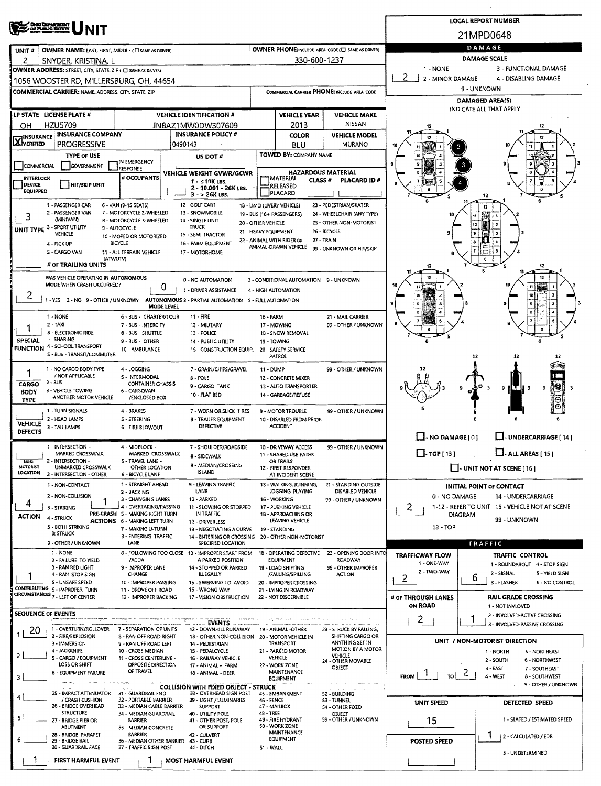|                                                                                                                                                                          |                                                                                                            | <b>LOCAL REPORT NUMBER</b>                                                             |
|--------------------------------------------------------------------------------------------------------------------------------------------------------------------------|------------------------------------------------------------------------------------------------------------|----------------------------------------------------------------------------------------|
| <b>Chao Diopartment</b><br>Dy Planlie Hafkyy                                                                                                                             | 21MPD0648                                                                                                  |                                                                                        |
| OWNER NAME: LAST, FIRST, MIDDLE (E) SAME AS DRIVER)<br>UNIT#                                                                                                             | DAMAGE<br>OWNER PHONE:INCLUDE AREA CODE (C) SAME AS DRIVER)                                                |                                                                                        |
| 2<br>SNYDER, KRISTINA, L                                                                                                                                                 | 330-600-1237                                                                                               | <b>DAMAGE SCALE</b>                                                                    |
| OWNER ADDRESS: STREET, CITY, STATE, ZIP ( C SAME AS DRIVER)                                                                                                              | 1 - NONE<br>3 - FUNCTIONAL DAMAGE<br>2<br>2 - MINOR DAMAGE<br>4 - DISABLING DAMAGE                         |                                                                                        |
| 1056 WOOSTER RD, MILLERSBURG, OH, 44654<br><b>COMMERCIAL CARRIER: NAME, ADDRESS, CITY, STATE, ZIP</b>                                                                    | 9 - UNKNOWN<br>COMMERCIAL CARRIER PHONE: INCLUDE AREA CODE                                                 |                                                                                        |
|                                                                                                                                                                          | <b>DAMAGED AREA(S)</b>                                                                                     |                                                                                        |
| LP STATE   LICENSE PLATE #<br><b>VEHICLE IDENTIFICATION #</b>                                                                                                            | <b>VEHICLE YEAR</b><br><b>VEHICLE MAKE</b>                                                                 | INDICATE ALL THAT APPLY                                                                |
| <b>HZU5709</b><br>OН<br>JN8AZ1MW0DW307609                                                                                                                                | <b>NISSAN</b><br>2013                                                                                      | 12                                                                                     |
| <b>INSURANCE COMPANY</b><br><b>INSURANCE POLICY #</b><br><b>X</b> INSURANCE                                                                                              | <b>VEHICLE MODEL</b><br><b>COLOR</b>                                                                       |                                                                                        |
| <b>PROGRESSIVE</b><br>0490143<br><b>TYPE OF USE</b>                                                                                                                      | <b>MURANO</b><br>BLU<br>TOWED BY: COMPANY NAME                                                             |                                                                                        |
| US DOT#<br>IN EMERGENCY<br>GOVERNMENT<br>COMMERCIAL<br><b>RESPONSE</b>                                                                                                   |                                                                                                            |                                                                                        |
| VEHICLE WEIGHT GVWR/GCWR<br># OCCUPANTS<br><b>INTERLOCK</b><br>$1 - 10K$ LBS.                                                                                            | HAZARDOUS MATERIAL<br><b>CLASS #</b>                                                                       | <b>PLACARD ID#</b>                                                                     |
| DEVICE<br>HIT/SKIP UNIT<br>2 - 10.001 - 26K LBS.<br><b>EQUIPPED</b><br>3 - > 26K LBS.                                                                                    | RELEASED<br>PLACARD                                                                                        |                                                                                        |
| 1 - PASSENGER CAR<br>12 - GOLF CART<br>6 - VAN (9-15 SEATS)                                                                                                              | 18 - LIMO (LIVERY VEHICLE)<br>23 - PEDESTRIAN/SKATER                                                       | 12                                                                                     |
| 2 - PASSENGER VAN<br>7 - MOTORCYCLE 2-WHEELED<br>13 - SNOWMOBILE<br>3<br>(MINIVAN)<br>B - MOTORCYCLE 3-WHEELED<br>14 - SINGLE UNIT                                       | 24 - WHEELCHAIR (ANY TYPE)<br>19 - BUS (16+ PASSENGERS)                                                    | 11                                                                                     |
| TRUCK<br>UNIT TYPE 3 - SPORT UTILITY<br>9 - AUTOCYCLE<br>VEHICLE<br>15 - SEMI-TRACTOR                                                                                    | 25 - OTHER NON-MOTORIST<br>20 - OTHER VEHICLE<br>26 - BICYCLE<br>21 - HEAVY EQUIPMENT                      | 10<br>9                                                                                |
| 10 - MOPED OR MOTORIZED<br><b>BICYCLE</b><br>16 - FARM EQUIPMENT<br>4 - PICK UP                                                                                          | 22 - ANIMAL WITH RIDER OR<br>27 - TRAIN<br>ANIMAL-DRAWN VEHICLE                                            |                                                                                        |
| S - CARGO VAN<br>11 - ALL TERRAIN VEHICLE<br>17 - MOTORHOME<br>(ATV/UTV)                                                                                                 | 99 - UNKNOWN OR HIT/SKIP                                                                                   | (ت<br>ñ                                                                                |
| # of TRAILING UNITS                                                                                                                                                      |                                                                                                            | 12                                                                                     |
| WAS VEHICLE OPERATING IN AUTONOMOUS<br>0 - NO AUTOMATION<br>MODE WHEN CRASH OCCURRED?                                                                                    | 12<br>3 - CONDITIONAL AUTOMATION 9 - UNKNOWN                                                               |                                                                                        |
| Ü<br>1 - DRIVER ASSISTANCE<br>2                                                                                                                                          | 4 - HIGH AUTOMATION                                                                                        | 10                                                                                     |
| 1 - YES 2 - NO 9 - OTHER / UNKNOWN AUTONOMOUS 2 - PARTIAL AUTOMATION 5 - FULL AUTOMATION<br><b>MODE LEVEL</b>                                                            |                                                                                                            |                                                                                        |
| $11 - FIRE$<br>1 - NONE<br>6 - BUS - CHARTER/TOUR<br>$2 - TAXi$<br>7 - BUS - INTERCITY<br>12 - MIUTARY                                                                   | 16 - FARM<br>21 - MAIL CARRIER<br>99 - OTHER / UNKNOWN<br>17 - MOWING                                      |                                                                                        |
| 3 - ELECTRONIC RIDE<br><b>8 - BUS - SHUTTLE</b><br>13 - POLICE                                                                                                           | 1B - SNOW REMOVAL                                                                                          |                                                                                        |
| · SHARING<br><b>SPECIAL</b><br>9 - BUS - OTHER<br>14 - PUBLIC UTILITY<br>FUNCTION 4 - SCHOOL TRANSPORT<br>10 - AMBULANCE<br>15 - CONSTRUCTION EQUIP. 20 - SAFETY SERVICE | 19 - TOWING                                                                                                |                                                                                        |
| S - BUS - TRANSIT/COMMUTER                                                                                                                                               | <b>PATROL</b>                                                                                              | 12<br>12<br>12                                                                         |
| 1 - NO CARGO BODY TYPE<br>4 - LOGGING<br>7 - GRAIN/CHIPS/GRAVEL<br>1<br>/ NOT APPLICABLE                                                                                 | 11 - DUMP<br>99 - OTHER / UNKNOWN                                                                          |                                                                                        |
| 5 - INTERMODAL<br>8 - POLE<br>2 - BUS<br>CARGO<br><b>CONTAINER CHASSIS</b><br>9 - CARGO TANK                                                                             | 12 - CONCRETE MIXER<br>13 - AUTO TRANSPORTER                                                               | 18<br>IT<br>9<br>9<br>-3                                                               |
| 3 - VEHICLE TOWING<br>6 - CARGOVAN<br><b>BODY</b><br>10 - FLAT BED<br>ANOTHER MOTOR VEHICLE<br>/ENCLOSED BOX<br><b>TYPE</b>                                              | 14 - GARBAGE/REFUSE                                                                                        | Θ                                                                                      |
| 1 - TURN SIGNALS<br>4 - BRAKES<br>7 - WORN OR SLICK TIRES                                                                                                                | 99 - OTHER / UNKNOWN<br>9 - MOTOR TROUBLE                                                                  | O.                                                                                     |
| 2 - HEAD LAMPS<br>5 - STEERING<br><b>B - TRAILER EQUIPMENT</b><br><b>VEHICLE</b><br>DEFECTIVE<br>3 - TAIL LAMPS<br><b>6 - TIRE BLOWOUT</b>                               | 10 - DISABLED FROM PRIOR<br><b>ACCIDENT</b>                                                                |                                                                                        |
| <b>DEFECTS</b>                                                                                                                                                           |                                                                                                            | $\Box$ - NO DAMAGE [0]<br>U-UNDERCARRIAGE [14]                                         |
| 1 - INTERSECTION -<br>4 - MIDBLOCK -<br>7 - SHOULDER/ROADSIDE<br>MARKED CROSSWALK<br>MARKED CROSSWALK                                                                    | 99 - OTHER / UNKNOWN<br>10 - DRIVEWAY ACCESS                                                               | $\Box$ - ALL AREAS [ 15 ]<br>$\Box$ -TOP [ 13 ]                                        |
| 8 - SIDEWALK<br>2 - INTERSECTION -<br>5 - TRAVEL LANE -<br>NOR-<br>9 - MEDIAN/CROSSING<br>MOTORIST                                                                       | 11 - SHARED USE PATHS<br>OR TRAILS                                                                         |                                                                                        |
| UNMARKED CROSSWALK<br>OTHER LOCATION<br><b>ISLAND</b><br>LOCATION<br>3 - INTERSECTION - OTHER<br><b>6 - BICYCLE LANE</b>                                                 | 12 - FIRST RESPONDER<br>AT INCIDENT SCENE                                                                  | UNIT NOT AT SCENE [16]                                                                 |
| 9 - LEAVING TRAFFIC<br>1 - STRAIGHT AHEAD<br>1 - NON-CONTACT<br>LANE<br>2 - BACKING                                                                                      | 1S - WALKING, RUNNING,<br>21 - STANDING OUTSIDE<br>DISABLED VEHICLE<br>JOGGING, PLAYING                    | <b>INITIAL POINT OF CONTACT</b>                                                        |
| 2 - NON-COLLISION<br>10 - PARKED<br>3 - CHANGING LANES<br>4                                                                                                              | 16 - WORKING<br>99 - OTHER / UNKNOWN                                                                       | 0 - NO DAMAGE<br>14 - UNDERCARRIAGE                                                    |
| 4 - OVERTAKING/PASSING<br>11 - SLOWING OR STOPPED<br>3 - STRIKING<br>PRE-CRASH S - MAKING RIGHT TURN<br>IN TRAFFIC<br><b>ACTION</b><br>4 - STRUCK                        | 17 - PUSHING VEHICLE<br>18 - APPROACHING OR                                                                | 2<br>1-12 - REFER TO UNIT 15 - VEHICLE NOT AT SCENE<br>DIAGRAM                         |
| <b>ACTIONS 6 - MAKING LEFT TURN</b><br>12 - DRIVERLESS<br>5 - BOTH STRIKING<br>7 - MAKING U-TURN<br>13 - NEGOTIATING A CURVE                                             | LEAVING VEHICLE<br>19 - STANDING                                                                           | 99 - UNKNOWN<br>13 - TOP                                                               |
| & STRUCK<br><b>B-ENTERING TRAFFIC</b><br>9 - OTHER / UNKNOWN<br>LANE<br>SPECIFIED LOCATION                                                                               | 14 - ENTERING OR CROSSING 20 - OTHER NON-MOTORIST                                                          | TRAFFIC                                                                                |
| 1 - NONE<br>8 - FOLLOWING TOO CLOSE 13 - IMPROPER START FROM                                                                                                             | 18 - OPERATING DEFECTIVE<br>23 - OPENING DOOR INTO                                                         | <b>TRAFFICWAY FLOW</b><br>TRAFFIC CONTROL                                              |
| /ACDA<br>A PARKED POSITION<br>2 - FAILURE TO YIELD<br>3 - RAN RED LIGHT<br>9 - IMPROPER LANE<br>14 - STOPPED OR PARKED                                                   | <b>ROADWAY</b><br>EQUIPMENT<br>99 - OTHER IMPROPER<br>19 - LOAD SHIFTING                                   | 1 - ONE-WAY<br>1 - ROUNDABOUT 4 - STOP SIGN                                            |
| <b>CHANGE</b><br><b>ILLEGALLY</b><br>4 - RAN STOP SIGN<br>S - UNSAFE SPEED<br>10 - IMPROPER PASSING<br>15 - SWERVING TO AVOID                                            | /FALLING/SPILLING<br><b>ACTION</b><br>20 - IMPROPER CROSSING                                               | 2 - TWO-WAY<br>2 - SIGNAL<br>5 - YIELD SIGN<br>2<br>b<br>3 - FLASHER<br>6 - NO CONTROL |
| CONTRIBUTING 6 - IMPROPER TURN<br>11 - DROVE OFF ROAD<br>16 - WRONG WAY<br>CIRCUMSTANCES 7 - LEFT OF CENTER                                                              | 21 - LYING IN ROADWAY                                                                                      |                                                                                        |
| 12 - IMPROPER BACKING<br>17 - VISION OBSTRUCTION                                                                                                                         | 22 - NOT DISCERNIBLE                                                                                       | # of THROUGH LANES<br><b>RAIL GRADE CROSSING</b><br><b>ON ROAD</b><br>1 - NOT INVLOVED |
| <b>SEQUENCE OF EVENTS</b>                                                                                                                                                |                                                                                                            | 2 - INVOLVED-ACTIVE CROSSING<br>2                                                      |
| EVENTS<br>1 - OVERTURN/ROLLOVER<br>7 - SEPARATION OF UNITS<br>12 - DOWNHILL RUNAWAY<br>20                                                                                | 19 - ANIMAL -OTHER<br>23 - STRUCK BY FALLING,                                                              | 3 - INVOLVED-PASSIVE CROSSING                                                          |
| 2 - FIRE/EXPLOSION<br>8 - RAN OFF ROAD RIGHT<br>3 - IMMERSION<br>9 - RAN OFF ROAD LEFT<br>14 - PEDESTRIAN                                                                | SHIFTING CARGO OR<br>13 - OTHER NON-COLLISION 20 - MOTOR VEHICLE IN<br>ANYTHING SET IN<br><b>TRANSPORT</b> | UNIT / NON-MOTORIST DIRECTION                                                          |
| 4 - JACKKNIFE<br>10 - CROSS MEDIAN<br>15 - PEDALCYCLE<br>2<br>5 - CARGO / EQUIPMENT<br>11 - CROSS CENTERLINE -<br>16 - RAILWAY VEHICLE                                   | MOTION BY A MOTOR<br>21 - PARKED MOTOR<br>VEHICLE<br><b>VEHICLE</b>                                        | 1-NORTH<br>5 - NORTHEAST<br>2 - SOUTH<br>6 - NORTHWEST                                 |
| LOSS OR SHIFT<br>OPPOSITE DIRECTION<br>17 - ANIMAL - FARM<br>OF TRAVEL<br><b>6 - EQUIPMENT FAILURE</b>                                                                   | 24 - OTHER MOVABLE<br>22 - WORK ZONE<br>OBJECT<br>MAINTENANCE                                              | 3 - EAST<br>7 - SOUTHEAST                                                              |
| 18 - ANIMAL - DEER<br>з                                                                                                                                                  | $ 70 $ 2  <br>$F_{\text{ROM}}$   $\frac{1}{1}$<br>4 - WEST<br>8 - SOUTHWEST<br>9 - OTHER / UNKNOWN         |                                                                                        |
| <b>COLLISION WITH FIXED OBJECT - STRUCK</b><br>25 - IMPACT ATTENUATOR 31 - GUARDRAIL END<br>3B - OVERHEAD SIGN POST                                                      | 45 - EMBANKMENT<br>52 - BUILDING                                                                           |                                                                                        |
| / CRASH CUSHION<br>32 - PORTABLE BARRIER<br>39 - LIGHT / LUMINARIES<br>26 - BRIDGE OVERHEAD<br>33 - MEDIAN CABLE BARRIER<br><b>SUPPORT</b>                               | 46 - FENCE<br>53 - TUNNEL<br>47 - MAILBOX<br>54 - OTHER FIXED                                              | UNIT SPEED<br>DETECTED SPEED                                                           |
| <b>STRUCTURE</b><br>34 - MEDIAN GUARDRAIL<br>40 - UTILITY POLE<br>5<br>27 - BRIDGE PIER OR<br><b>BARRIER</b><br>41 - OTHER POST, POLE                                    | 48 - TREE<br><b>OBJECT</b><br>49 - FIRE HYDRANT<br>99 - OTHER / UNKNOWN                                    | 15<br>1 - STATED / ESTIMATED SPEED                                                     |
| <b>ABUTMENT</b><br>OR SUPPORT<br>35 - MEDIAN CONCRETE<br>28 - BRIDGE PARAPET<br><b>BARRIER</b><br>42 - CULVERT                                                           | 50 - WORK ZONE<br>MAINTENANCE                                                                              | 1                                                                                      |
| 6<br>29 - BRIDGE RAIL<br>36 - MEDIAN OTHER BARRIER 43 - CURB<br>30 - GUARDRAIL FACE<br>37 - TRAFFIC SIGN POST<br>44 - DITCH                                              | EQUIPMENT<br>51 - WALL                                                                                     | 2 - CALCULATED / EDR<br><b>POSTED SPEED</b>                                            |
| FIRST HARMFUL EVENT<br>MOST HARMFUL EVENT                                                                                                                                |                                                                                                            | 3 - UNDETERMINED                                                                       |
|                                                                                                                                                                          |                                                                                                            |                                                                                        |

 $\bar{z}$